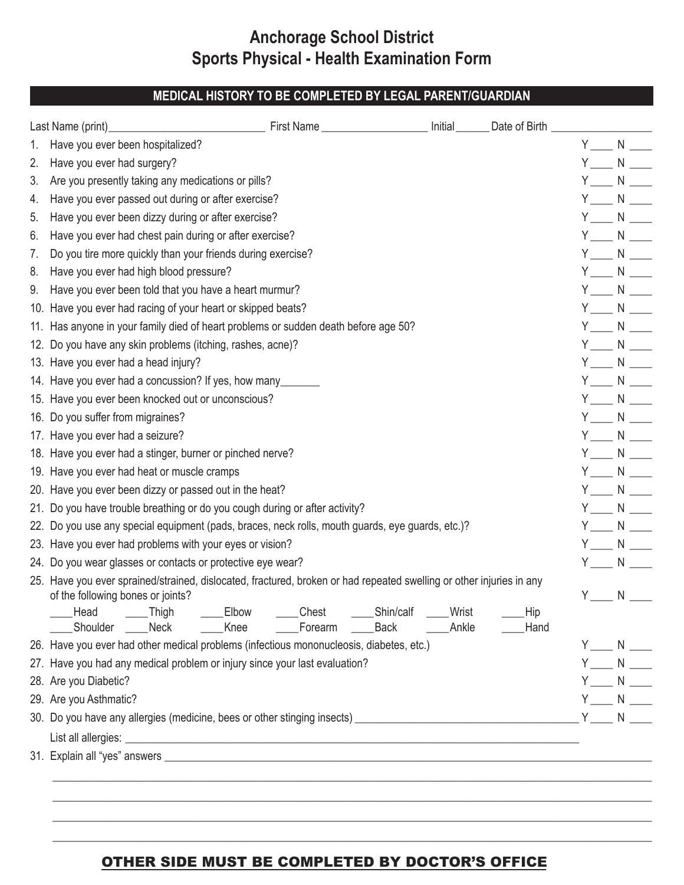# **Anchorage School District Sports Physical - Health Examination Form**

## **MEDICAL HISTORY TO BE COMPLETED BY LEGAL PARENT/GUARDIAN**

|    | Last Name (print)<br><u>Last Name</u> (print)<br>Last Name (print)<br>Last Name (print)                                                                                                                                                                                                                 |  |                             |  |  |  |
|----|---------------------------------------------------------------------------------------------------------------------------------------------------------------------------------------------------------------------------------------------------------------------------------------------------------|--|-----------------------------|--|--|--|
| 1. | Have you ever been hospitalized?                                                                                                                                                                                                                                                                        |  | $Y \_ N \_$                 |  |  |  |
| 2. | Have you ever had surgery?                                                                                                                                                                                                                                                                              |  | $Y \_ N \_$                 |  |  |  |
| 3. | Are you presently taking any medications or pills?                                                                                                                                                                                                                                                      |  | $Y \_ N \_ N$               |  |  |  |
| 4. | Have you ever passed out during or after exercise?                                                                                                                                                                                                                                                      |  | $Y \_ N \_$                 |  |  |  |
| 5. | Have you ever been dizzy during or after exercise?                                                                                                                                                                                                                                                      |  | $Y_{\_\_\_N}$ N $\_\_\_\_N$ |  |  |  |
| 6. | Have you ever had chest pain during or after exercise?                                                                                                                                                                                                                                                  |  | $Y \_ N \_$                 |  |  |  |
| 7. | Do you tire more quickly than your friends during exercise?                                                                                                                                                                                                                                             |  | $Y \_ N \_$                 |  |  |  |
| 8. | Have you ever had high blood pressure?                                                                                                                                                                                                                                                                  |  | $Y \_ N \_$                 |  |  |  |
| 9. | Have you ever been told that you have a heart murmur?                                                                                                                                                                                                                                                   |  | $Y \_ N \_$                 |  |  |  |
|    | 10. Have you ever had racing of your heart or skipped beats?                                                                                                                                                                                                                                            |  | $Y \_ N \_$                 |  |  |  |
|    | 11. Has anyone in your family died of heart problems or sudden death before age 50?                                                                                                                                                                                                                     |  | $Y \_ N \_$                 |  |  |  |
|    | 12. Do you have any skin problems (itching, rashes, acne)?                                                                                                                                                                                                                                              |  | $Y_{\_\_\_N}$ N $\_\_\_\_N$ |  |  |  |
|    | 13. Have you ever had a head injury?                                                                                                                                                                                                                                                                    |  | $Y \_ N \_$                 |  |  |  |
|    | 14. Have you ever had a concussion? If yes, how many_______                                                                                                                                                                                                                                             |  | $Y \_ N \_$                 |  |  |  |
|    | 15. Have you ever been knocked out or unconscious?                                                                                                                                                                                                                                                      |  | $Y \_ N \_$                 |  |  |  |
|    | 16. Do you suffer from migraines?                                                                                                                                                                                                                                                                       |  | $Y \_ N \_$                 |  |  |  |
|    | 17. Have you ever had a seizure?                                                                                                                                                                                                                                                                        |  | $Y \_ N \_$                 |  |  |  |
|    | 18. Have you ever had a stinger, burner or pinched nerve?                                                                                                                                                                                                                                               |  | $Y \_ N \_$                 |  |  |  |
|    | 19. Have you ever had heat or muscle cramps                                                                                                                                                                                                                                                             |  |                             |  |  |  |
|    | 20. Have you ever been dizzy or passed out in the heat?                                                                                                                                                                                                                                                 |  |                             |  |  |  |
|    | 21. Do you have trouble breathing or do you cough during or after activity?                                                                                                                                                                                                                             |  | $Y \_ N \_ N$               |  |  |  |
|    | 22. Do you use any special equipment (pads, braces, neck rolls, mouth guards, eye guards, etc.)?                                                                                                                                                                                                        |  | $Y_{\_\_\_N}$ N $\_\_\_\_N$ |  |  |  |
|    | 23. Have you ever had problems with your eyes or vision?                                                                                                                                                                                                                                                |  | $Y_{\_\_\_N}$ N $\_\_\_\_N$ |  |  |  |
|    | 24. Do you wear glasses or contacts or protective eye wear?                                                                                                                                                                                                                                             |  |                             |  |  |  |
|    | 25. Have you ever sprained/strained, dislocated, fractured, broken or had repeated swelling or other injuries in any<br>of the following bones or joints?<br>Chest_<br>Elbow<br>_Shin/calf<br>Wrist<br>Hip<br>Head _____Thigh<br>Shoulder Neck<br>Knee _______Forearm _______Back ________Ankle<br>Hand |  | $N \underline{\qquad}$      |  |  |  |
|    | 26. Have you ever had other medical problems (infectious mononucleosis, diabetes, etc.)                                                                                                                                                                                                                 |  | $Y_{\_\_\_N}$ N $\_\_\_\_N$ |  |  |  |
|    | 27. Have you had any medical problem or injury since your last evaluation?                                                                                                                                                                                                                              |  | $Y \_ N \_$                 |  |  |  |
|    | 28. Are you Diabetic?                                                                                                                                                                                                                                                                                   |  | $Y \_ N \_$                 |  |  |  |
|    | 29. Are you Asthmatic?                                                                                                                                                                                                                                                                                  |  | $Y \_ N \_ N$               |  |  |  |
|    |                                                                                                                                                                                                                                                                                                         |  |                             |  |  |  |
|    |                                                                                                                                                                                                                                                                                                         |  |                             |  |  |  |
|    |                                                                                                                                                                                                                                                                                                         |  |                             |  |  |  |

#### OTHER SIDE MUST BE COMPLETED BY DOCTOR'S OFFICE

\_\_\_\_\_\_\_\_\_\_\_\_\_\_\_\_\_\_\_\_\_\_\_\_\_\_\_\_\_\_\_\_\_\_\_\_\_\_\_\_\_\_\_\_\_\_\_\_\_\_\_\_\_\_\_\_\_\_\_\_\_\_\_\_\_\_\_\_\_\_\_\_\_\_\_\_\_\_\_\_\_\_\_\_\_\_\_\_\_\_\_\_\_\_\_\_\_\_\_\_\_\_\_\_\_\_\_